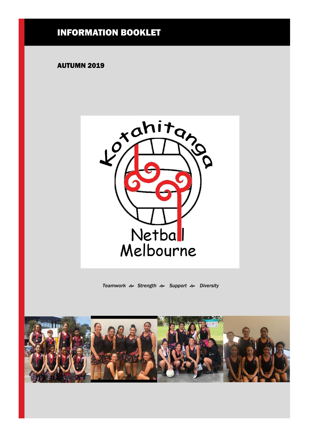### INFORMATION BOOKLET

#### AUTUMN 2019



*Teamwork Strength Support Diversity*

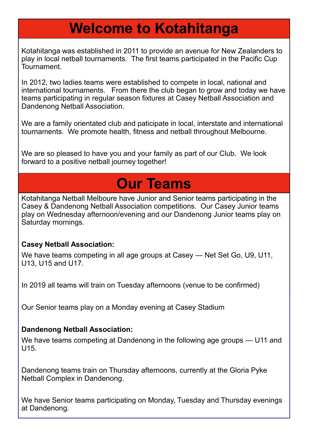## **Welcome to Kotahitanga**

Kotahitanga was established in 2011 to provide an avenue for New Zealanders to play in local netball tournaments. The first teams participated in the Pacific Cup **Tournament** 

In 2012, two ladies teams were established to compete in local, national and international tournaments. From there the club began to grow and today we have teams participating in regular season fixtures at Casey Netball Association and Dandenong Netball Association.

We are a family orientated club and paticipate in local, interstate and international tournaments. We promote health, fitness and netball throughout Melbourne.

We are so pleased to have you and your family as part of our Club. We look forward to a positive netball journey together!

## **Our Teams**

Kotahitanga Netball Melboure have Junior and Senior teams participating in the Casey & Dandenong Netball Association competitions. Our Casey Junior teams play on Wednesday afternoon/evening and our Dandenong Junior teams play on Saturday mornings.

### **Casey Netball Association:**

We have teams competing in all age groups at Casey — Net Set Go, U9, U11, U13, U15 and U17.

In 2019 all teams will train on Tuesday afternoons (venue to be confirmed)

Our Senior teams play on a Monday evening at Casey Stadium

### **Dandenong Netball Association:**

We have teams competing at Dandenong in the following age groups — U11 and U15.

Dandenong teams train on Thursday afternoons, currently at the Gloria Pyke Netball Complex in Dandenong.

We have Senior teams participating on Monday, Tuesday and Thursday evenings at Dandenong.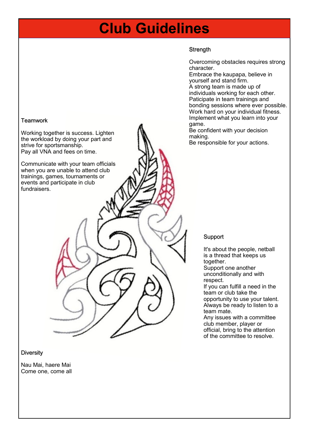### **Club Guidelines**

#### **Strength**

Overcoming obstacles requires strong character.

Embrace the kaupapa, believe in yourself and stand firm. A strong team is made up of individuals working for each other. Paticipate in team trainings and bonding sessions where ever possible. Work hard on your individual fitness. Implement what you learn into your game.

Be confident with your decision making.

Be responsible for your actions.

#### Support

It's about the people, netball is a thread that keeps us together. Support one another unconditionally and with respect. If you can fulfill a need in the team or club take the opportunity to use your talent. Always be ready to listen to a team mate. Any issues with a committee club member, player or official, bring to the attention

of the committee to resolve.

#### **Teamwork**

Working together is success. Lighten the workload by doing your part and strive for sportsmanship. Pay all VNA and fees on time.

Communicate with your team officials when you are unable to attend club trainings, games, tournaments or events and participate in club fundraisers.

#### **Diversity**

Nau Mai, haere Mai Come one, come all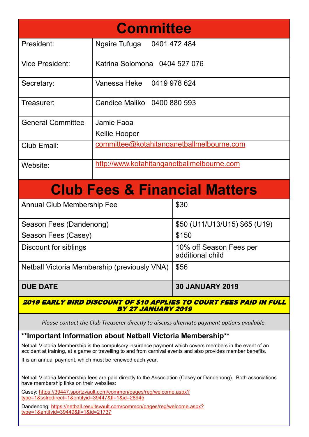| <b>Committee</b>                                                                                 |                                            |                                             |  |  |
|--------------------------------------------------------------------------------------------------|--------------------------------------------|---------------------------------------------|--|--|
| President:                                                                                       | Ngaire Tufuga 0401 472 484                 |                                             |  |  |
| <b>Vice President:</b>                                                                           | Katrina Solomona 0404 527 076              |                                             |  |  |
| Secretary:                                                                                       | Vanessa Heke 0419 978 624                  |                                             |  |  |
| Treasurer:                                                                                       | Candice Maliko 0400 880 593                |                                             |  |  |
| <b>General Committee</b>                                                                         | Jamie Faoa<br>Kellie Hooper                |                                             |  |  |
| Club Email:                                                                                      | committee@kotahitanganetballmelbourne.com  |                                             |  |  |
| Website:                                                                                         | http://www.kotahitanganetballmelbourne.com |                                             |  |  |
| <b>Club Fees &amp; Financial Matters</b>                                                         |                                            |                                             |  |  |
| <b>Annual Club Membership Fee</b>                                                                |                                            | \$30                                        |  |  |
| Season Fees (Dandenong)                                                                          |                                            | \$50 (U11/U13/U15) \$65 (U19)               |  |  |
| Season Fees (Casey)                                                                              |                                            | \$150                                       |  |  |
| <b>Discount for siblings</b>                                                                     |                                            | 10% off Season Fees per<br>additional child |  |  |
| Netball Victoria Membership (previously VNA)                                                     |                                            | \$56                                        |  |  |
| <b>DUE DATE</b>                                                                                  |                                            | <b>30 JANUARY 2019</b>                      |  |  |
| 2019 EARLY BIRD DISCOUNT OF \$10 APPLIES TO COURT FEES PAID IN FULL<br><b>BY 27 JANUARY 2019</b> |                                            |                                             |  |  |

*Please contact the Club Treaserer directly to discuss alternate payment options available.*

### **\*\*Important Information about Netball Victoria Membership\*\***

Netball Victoria Membership is the compulsory insurance payment which covers members in the event of an accident at training, at a game or travelling to and from carnival events and also provides member benefits.

It is an annual payment, which must be renewed each year.

Netball Victoria Membership fees are paid directly to the Association (Casey or Dandenong). Both associations have membership links on their websites:

Casey: [https://39447.sportzvault.com/common/pages/reg/welcome.aspx?](https://39447.sportzvault.com/common/pages/reg/welcome.aspx?type=1&sslredirect=1&entityid=39447&fl=1&id=28945) [type=1&sslredirect=1&entityid=39447&fl=1&id=28945](https://39447.sportzvault.com/common/pages/reg/welcome.aspx?type=1&sslredirect=1&entityid=39447&fl=1&id=28945)

Dandenong: [https://netball.resultsvault.com/common/pages/reg/welcome.aspx?](https://netball.resultsvault.com/common/pages/reg/welcome.aspx?type=1&entityid=39449&fl=1&id=21737) [type=1&entityid=39449&fl=1&id=21737](https://netball.resultsvault.com/common/pages/reg/welcome.aspx?type=1&entityid=39449&fl=1&id=21737)